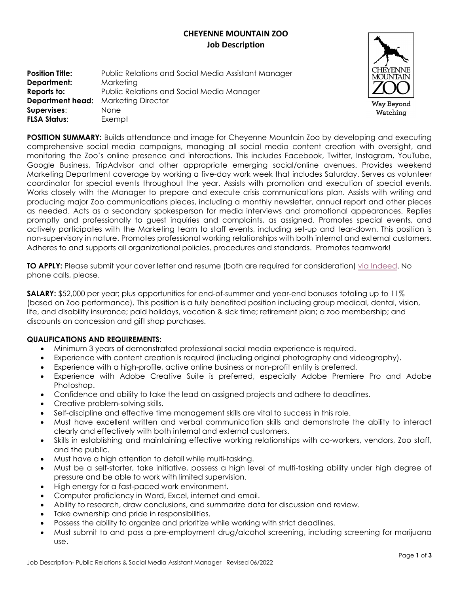# **CHEYENNE MOUNTAIN ZOO Job Description**

| <b>Position Title:</b>                     | Public Relations and Social Media Assistant Manager |
|--------------------------------------------|-----------------------------------------------------|
| Department:                                | Marketing                                           |
| Reports to:                                | Public Relations and Social Media Manager           |
| <b>Department head:</b> Marketing Director |                                                     |
| Supervises:                                | <b>None</b>                                         |
| <b>FLSA Status:</b>                        | Exempt                                              |



**POSITION SUMMARY:** Builds attendance and image for Cheyenne Mountain Zoo by developing and executing comprehensive social media campaigns, managing all social media content creation with oversight, and monitoring the Zoo's online presence and interactions. This includes Facebook, Twitter, Instagram, YouTube, Google Business, TripAdvisor and other appropriate emerging social/online avenues. Provides weekend Marketing Department coverage by working a five-day work week that includes Saturday. Serves as volunteer coordinator for special events throughout the year. Assists with promotion and execution of special events. Works closely with the Manager to prepare and execute crisis communications plan. Assists with writing and producing major Zoo communications pieces, including a monthly newsletter, annual report and other pieces as needed. Acts as a secondary spokesperson for media interviews and promotional appearances. Replies promptly and professionally to guest inquiries and complaints, as assigned. Promotes special events, and actively participates with the Marketing team to staff events, including set-up and tear-down. This position is non-supervisory in nature. Promotes professional working relationships with both internal and external customers. Adheres to and supports all organizational policies, procedures and standards. Promotes teamwork!

**TO APPLY:** Please submit your cover letter and resume (both are required for consideration) [via Indeed.](https://www.indeed.com/viewjob?t=public+relations+social+media+assistant+manager&jk=4d858fd29c0f80db&_ga=2.199620140.303223836.1653060360-15097624.1652368936) No phone calls, please.

**SALARY:** \$52,000 per year; plus opportunities for end-of-summer and year-end bonuses totaling up to 11% (based on Zoo performance). This position is a fully benefited position including group medical, dental, vision, life, and disability insurance; paid holidays, vacation & sick time; retirement plan; a zoo membership; and discounts on concession and gift shop purchases.

## **QUALIFICATIONS AND REQUIREMENTS:**

- Minimum 3 years of demonstrated professional social media experience is required.
- Experience with content creation is required (including original photography and videography).
- Experience with a high-profile, active online business or non-profit entity is preferred.
- Experience with Adobe Creative Suite is preferred, especially Adobe Premiere Pro and Adobe Photoshop.
- Confidence and ability to take the lead on assigned projects and adhere to deadlines.
- Creative problem-solving skills.
- Self-discipline and effective time management skills are vital to success in this role.
- Must have excellent written and verbal communication skills and demonstrate the ability to interact clearly and effectively with both internal and external customers.
- Skills in establishing and maintaining effective working relationships with co-workers, vendors, Zoo staff, and the public.
- Must have a high attention to detail while multi-tasking.
- Must be a self-starter, take initiative, possess a high level of multi-tasking ability under high degree of pressure and be able to work with limited supervision.
- High energy for a fast-paced work environment.
- Computer proficiency in Word, Excel, internet and email.
- Ability to research, draw conclusions, and summarize data for discussion and review.
- Take ownership and pride in responsibilities.
- Possess the ability to organize and prioritize while working with strict deadlines.
- Must submit to and pass a pre-employment drug/alcohol screening, including screening for marijuana use.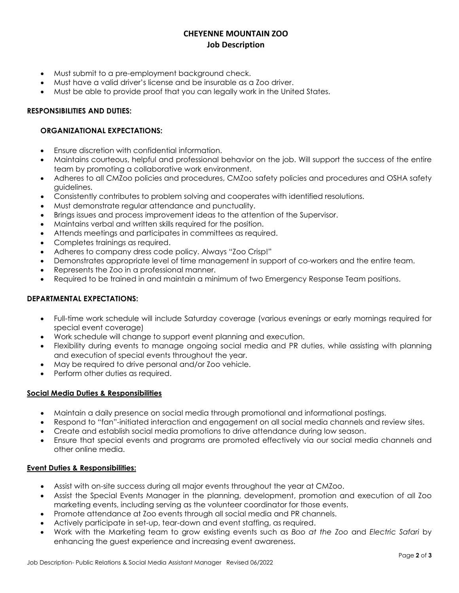## **CHEYENNE MOUNTAIN ZOO Job Description**

- Must submit to a pre-employment background check.
- Must have a valid driver's license and be insurable as a Zoo driver.
- Must be able to provide proof that you can legally work in the United States.

#### **RESPONSIBILITIES AND DUTIES:**

#### **ORGANIZATIONAL EXPECTATIONS:**

- Ensure discretion with confidential information.
- Maintains courteous, helpful and professional behavior on the job. Will support the success of the entire team by promoting a collaborative work environment.
- Adheres to all CMZoo policies and procedures, CMZoo safety policies and procedures and OSHA safety guidelines.
- Consistently contributes to problem solving and cooperates with identified resolutions.
- Must demonstrate regular attendance and punctuality.
- Brings issues and process improvement ideas to the attention of the Supervisor.
- Maintains verbal and written skills required for the position.
- Attends meetings and participates in committees as required.
- Completes trainings as required.
- Adheres to company dress code policy. Always "Zoo Crisp!"
- Demonstrates appropriate level of time management in support of co-workers and the entire team.
- Represents the Zoo in a professional manner.
- Required to be trained in and maintain a minimum of two Emergency Response Team positions.

#### **DEPARTMENTAL EXPECTATIONS:**

- Full-time work schedule will include Saturday coverage (various evenings or early mornings required for special event coverage)
- Work schedule will change to support event planning and execution.
- Flexibility during events to manage ongoing social media and PR duties, while assisting with planning and execution of special events throughout the year.
- May be required to drive personal and/or Zoo vehicle.
- Perform other duties as required.

### **Social Media Duties & Responsibilities**

- Maintain a daily presence on social media through promotional and informational postings.
- Respond to "fan"-initiated interaction and engagement on all social media channels and review sites.
- Create and establish social media promotions to drive attendance during low season.
- Ensure that special events and programs are promoted effectively via our social media channels and other online media.

#### **Event Duties & Responsibilities:**

- Assist with on-site success during all major events throughout the year at CMZoo.
- Assist the Special Events Manager in the planning, development, promotion and execution of all Zoo marketing events, including serving as the volunteer coordinator for those events.
- Promote attendance at Zoo events through all social media and PR channels.
- Actively participate in set-up, tear-down and event staffing, as required.
- Work with the Marketing team to grow existing events such as *Boo at the Zoo* and *Electric Safari* by enhancing the guest experience and increasing event awareness.